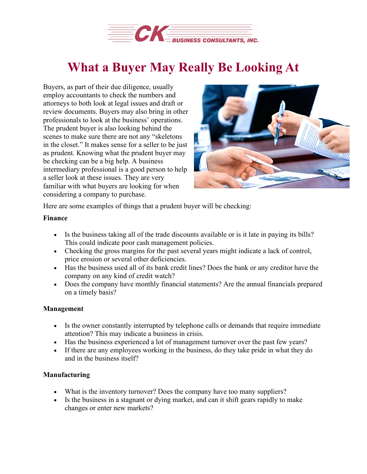

# **What a Buyer May Really Be Looking At**

Buyers, as part of their due diligence, usually employ accountants to check the numbers and attorneys to both look at legal issues and draft or review documents. Buyers may also bring in other professionals to look at the business' operations. The prudent buyer is also looking behind the scenes to make sure there are not any "skeletons in the closet." It makes sense for a seller to be just as prudent. Knowing what the prudent buyer may be checking can be a big help. A business intermediary professional is a good person to help a seller look at these issues. They are very familiar with what buyers are looking for when considering a company to purchase.



Here are some examples of things that a prudent buyer will be checking:

## **Finance**

- Is the business taking all of the trade discounts available or is it late in paying its bills? This could indicate poor cash management policies.
- Checking the gross margins for the past several years might indicate a lack of control, price erosion or several other deficiencies.
- Has the business used all of its bank credit lines? Does the bank or any creditor have the company on any kind of credit watch?
- Does the company have monthly financial statements? Are the annual financials prepared on a timely basis?

## **Management**

- Is the owner constantly interrupted by telephone calls or demands that require immediate attention? This may indicate a business in crisis.
- Has the business experienced a lot of management turnover over the past few years?
- If there are any employees working in the business, do they take pride in what they do and in the business itself?

## **Manufacturing**

- What is the inventory turnover? Does the company have too many suppliers?
- Is the business in a stagnant or dying market, and can it shift gears rapidly to make changes or enter new markets?